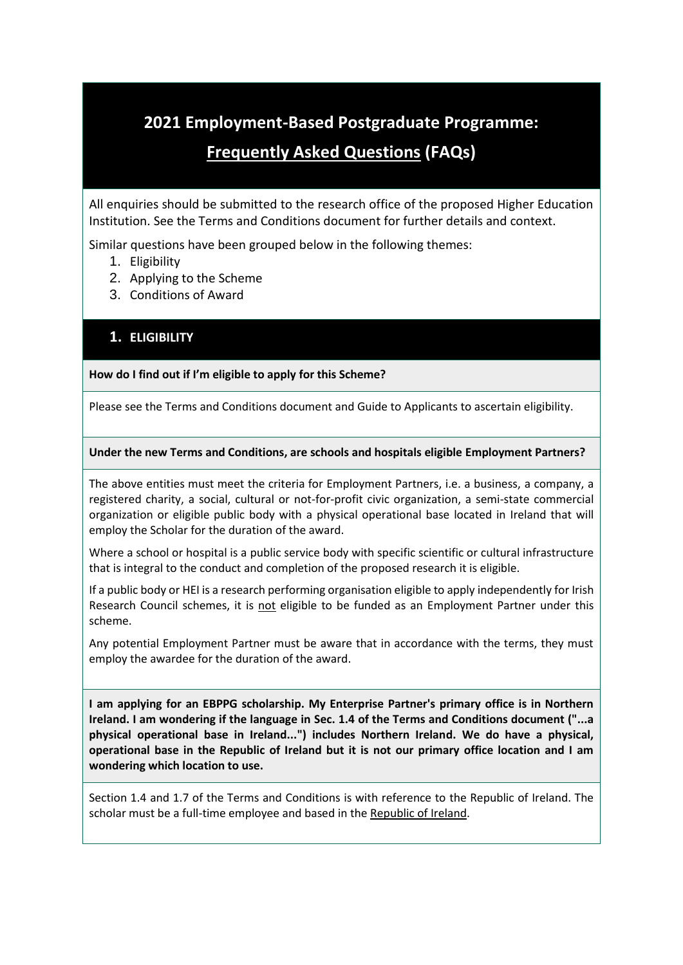# **2021 Employment-Based Postgraduate Programme:**

# **Frequently Asked Questions (FAQs)**

All enquiries should be submitted to the research office of the proposed Higher Education Institution. See the Terms and Conditions document for further details and context.

Similar questions have been grouped below in the following themes:

- 1. Eligibility
- 2. Applying to the Scheme
- 3. Conditions of Award

# **1. ELIGIBILITY**

# **How do I find out if I'm eligible to apply for this Scheme?**

Please see the Terms and Conditions document and Guide to Applicants to ascertain eligibility.

# **Under the new Terms and Conditions, are schools and hospitals eligible Employment Partners?**

The above entities must meet the criteria for Employment Partners, i.e. a business, a company, a registered charity, a social, cultural or not-for-profit civic organization, a semi-state commercial organization or eligible public body with a physical operational base located in Ireland that will employ the Scholar for the duration of the award.

Where a school or hospital is a public service body with specific scientific or cultural infrastructure that is integral to the conduct and completion of the proposed research it is eligible.

If a public body or HEI is a research performing organisation eligible to apply independently for Irish Research Council schemes, it is not eligible to be funded as an Employment Partner under this scheme.

Any potential Employment Partner must be aware that in accordance with the terms, they must employ the awardee for the duration of the award.

**I am applying for an EBPPG scholarship. My Enterprise Partner's primary office is in Northern Ireland. I am wondering if the language in Sec. 1.4 of the Terms and Conditions document ("...a physical operational base in Ireland...") includes Northern Ireland. We do have a physical, operational base in the Republic of Ireland but it is not our primary office location and I am wondering which location to use.**

Section 1.4 and 1.7 of the Terms and Conditions is with reference to the Republic of Ireland. The scholar must be a full-time employee and based in the Republic of Ireland.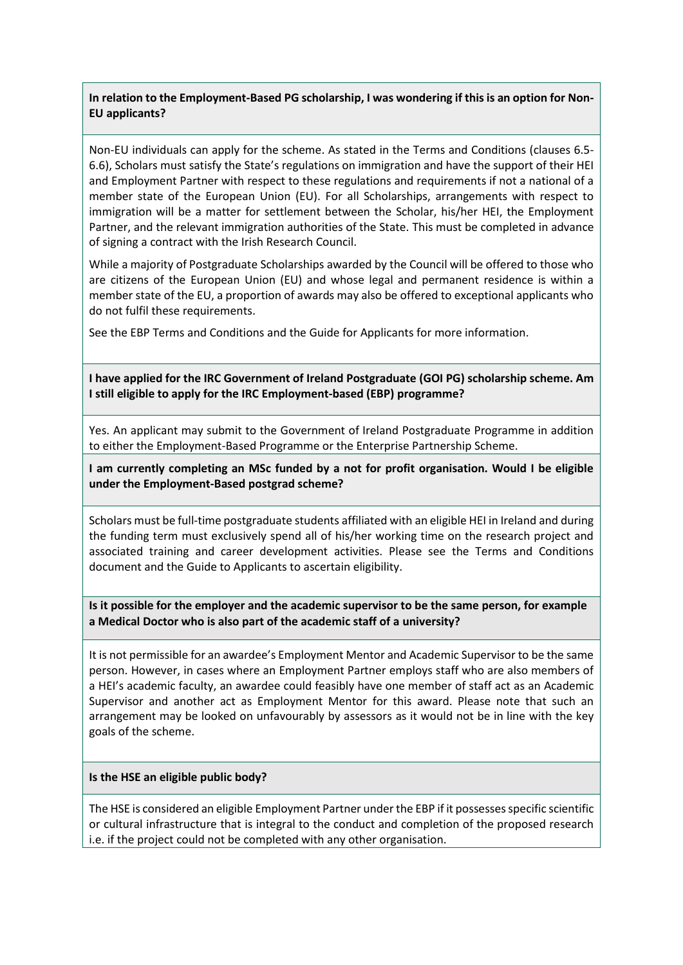# **In relation to the Employment-Based PG scholarship, I was wondering if this is an option for Non-EU applicants?**

Non-EU individuals can apply for the scheme. As stated in the Terms and Conditions (clauses 6.5- 6.6), Scholars must satisfy the State's regulations on immigration and have the support of their HEI and Employment Partner with respect to these regulations and requirements if not a national of a member state of the European Union (EU). For all Scholarships, arrangements with respect to immigration will be a matter for settlement between the Scholar, his/her HEI, the Employment Partner, and the relevant immigration authorities of the State. This must be completed in advance of signing a contract with the Irish Research Council.

While a majority of Postgraduate Scholarships awarded by the Council will be offered to those who are citizens of the European Union (EU) and whose legal and permanent residence is within a member state of the EU, a proportion of awards may also be offered to exceptional applicants who do not fulfil these requirements.

See the EBP Terms and Conditions and the Guide for Applicants for more information.

**I have applied for the IRC Government of Ireland Postgraduate (GOI PG) scholarship scheme. Am I still eligible to apply for the IRC Employment-based (EBP) programme?**

Yes. An applicant may submit to the Government of Ireland Postgraduate Programme in addition to either the Employment-Based Programme or the Enterprise Partnership Scheme.

**I am currently completing an MSc funded by a not for profit organisation. Would I be eligible under the Employment-Based postgrad scheme?** 

Scholars must be full-time postgraduate students affiliated with an eligible HEI in Ireland and during the funding term must exclusively spend all of his/her working time on the research project and associated training and career development activities. Please see the Terms and Conditions document and the Guide to Applicants to ascertain eligibility.

**Is it possible for the employer and the academic supervisor to be the same person, for example a Medical Doctor who is also part of the academic staff of a university?**

It is not permissible for an awardee's Employment Mentor and Academic Supervisor to be the same person. However, in cases where an Employment Partner employs staff who are also members of a HEI's academic faculty, an awardee could feasibly have one member of staff act as an Academic Supervisor and another act as Employment Mentor for this award. Please note that such an arrangement may be looked on unfavourably by assessors as it would not be in line with the key goals of the scheme.

#### **Is the HSE an eligible public body?**

The HSE is considered an eligible Employment Partner under the EBP if it possesses specific scientific or cultural infrastructure that is integral to the conduct and completion of the proposed research i.e. if the project could not be completed with any other organisation.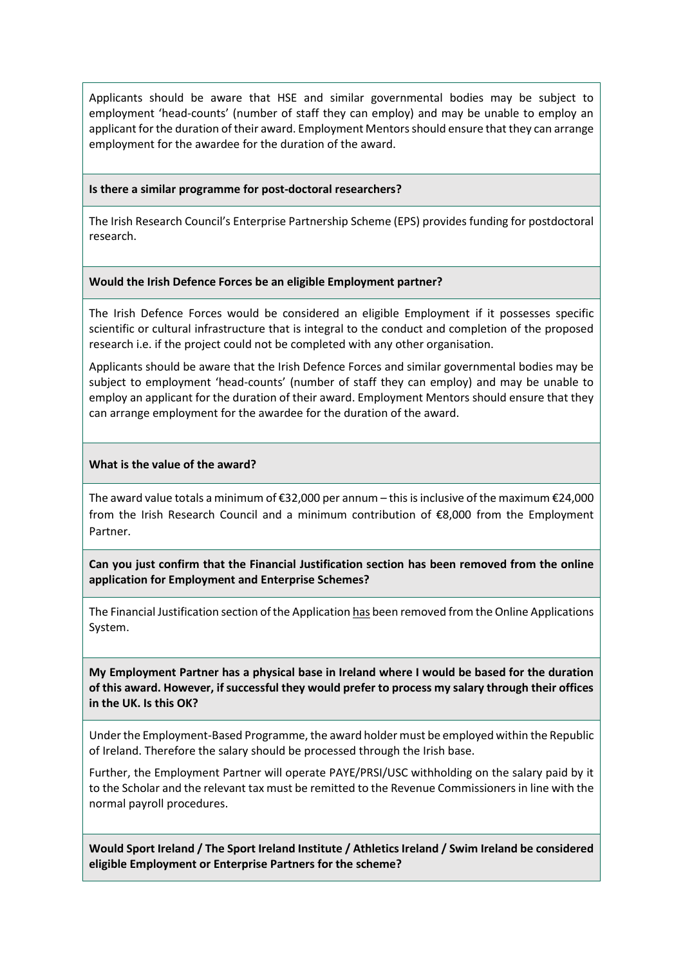Applicants should be aware that HSE and similar governmental bodies may be subject to employment 'head-counts' (number of staff they can employ) and may be unable to employ an applicant for the duration of their award. Employment Mentors should ensure that they can arrange employment for the awardee for the duration of the award.

#### **Is there a similar programme for post-doctoral researchers?**

The Irish Research Council's Enterprise Partnership Scheme (EPS) provides funding for postdoctoral research.

#### **Would the Irish Defence Forces be an eligible Employment partner?**

The Irish Defence Forces would be considered an eligible Employment if it possesses specific scientific or cultural infrastructure that is integral to the conduct and completion of the proposed research i.e. if the project could not be completed with any other organisation.

Applicants should be aware that the Irish Defence Forces and similar governmental bodies may be subject to employment 'head-counts' (number of staff they can employ) and may be unable to employ an applicant for the duration of their award. Employment Mentors should ensure that they can arrange employment for the awardee for the duration of the award.

#### **What is the value of the award?**

The award value totals a minimum of €32,000 per annum – this is inclusive of the maximum €24,000 from the Irish Research Council and a minimum contribution of €8,000 from the Employment Partner.

**Can you just confirm that the Financial Justification section has been removed from the online application for Employment and Enterprise Schemes?**

The Financial Justification section of the Application has been removed from the Online Applications System.

**My Employment Partner has a physical base in Ireland where I would be based for the duration of this award. However, if successful they would prefer to process my salary through their offices in the UK. Is this OK?**

Under the Employment-Based Programme, the award holder must be employed within the Republic of Ireland. Therefore the salary should be processed through the Irish base.

Further, the Employment Partner will operate PAYE/PRSI/USC withholding on the salary paid by it to the Scholar and the relevant tax must be remitted to the Revenue Commissioners in line with the normal payroll procedures.

**Would Sport Ireland / The Sport Ireland Institute / Athletics Ireland / Swim Ireland be considered eligible Employment or Enterprise Partners for the scheme?**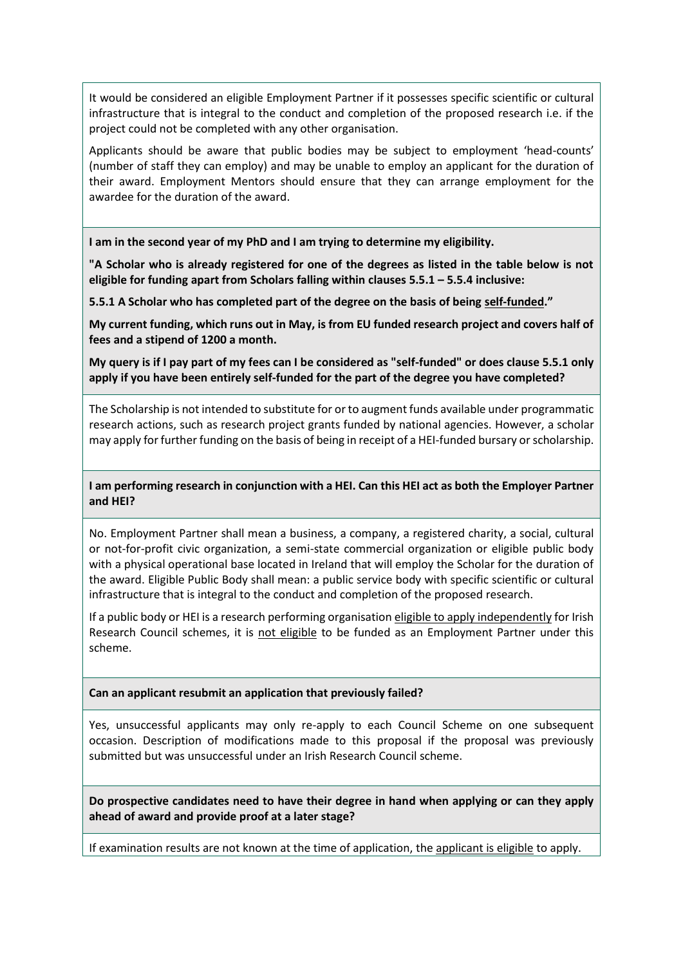It would be considered an eligible Employment Partner if it possesses specific scientific or cultural infrastructure that is integral to the conduct and completion of the proposed research i.e. if the project could not be completed with any other organisation.

Applicants should be aware that public bodies may be subject to employment 'head-counts' (number of staff they can employ) and may be unable to employ an applicant for the duration of their award. Employment Mentors should ensure that they can arrange employment for the awardee for the duration of the award.

**I am in the second year of my PhD and I am trying to determine my eligibility.**

**"A Scholar who is already registered for one of the degrees as listed in the table below is not eligible for funding apart from Scholars falling within clauses 5.5.1 – 5.5.4 inclusive:**

**5.5.1 A Scholar who has completed part of the degree on the basis of being self-funded."**

**My current funding, which runs out in May, is from EU funded research project and covers half of fees and a stipend of 1200 a month.**

**My query is if I pay part of my fees can I be considered as "self-funded" or does clause 5.5.1 only apply if you have been entirely self-funded for the part of the degree you have completed?**

The Scholarship is not intended to substitute for or to augment funds available under programmatic research actions, such as research project grants funded by national agencies. However, a scholar may apply for further funding on the basis of being in receipt of a HEI-funded bursary or scholarship.

**I am performing research in conjunction with a HEI. Can this HEI act as both the Employer Partner and HEI?**

No. Employment Partner shall mean a business, a company, a registered charity, a social, cultural or not-for-profit civic organization, a semi-state commercial organization or eligible public body with a physical operational base located in Ireland that will employ the Scholar for the duration of the award. Eligible Public Body shall mean: a public service body with specific scientific or cultural infrastructure that is integral to the conduct and completion of the proposed research.

If a public body or HEI is a research performing organisation eligible to apply independently for Irish Research Council schemes, it is not eligible to be funded as an Employment Partner under this scheme.

**Can an applicant resubmit an application that previously failed?**

Yes, unsuccessful applicants may only re-apply to each Council Scheme on one subsequent occasion. Description of modifications made to this proposal if the proposal was previously submitted but was unsuccessful under an Irish Research Council scheme.

**Do prospective candidates need to have their degree in hand when applying or can they apply ahead of award and provide proof at a later stage?**

If examination results are not known at the time of application, the applicant is eligible to apply.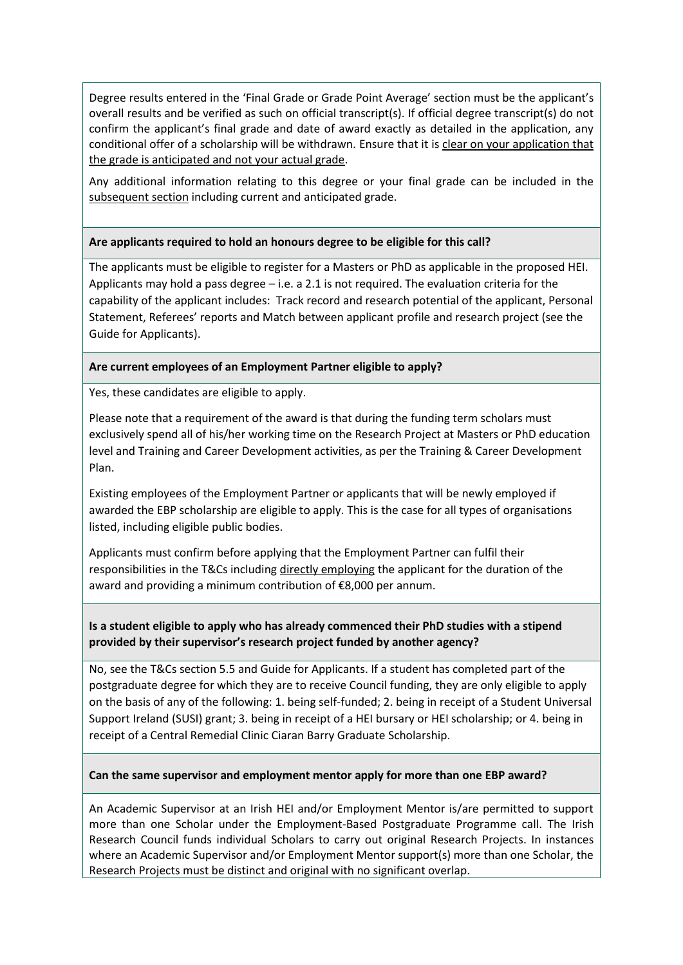Degree results entered in the 'Final Grade or Grade Point Average' section must be the applicant's overall results and be verified as such on official transcript(s). If official degree transcript(s) do not confirm the applicant's final grade and date of award exactly as detailed in the application, any conditional offer of a scholarship will be withdrawn. Ensure that it is clear on your application that the grade is anticipated and not your actual grade.

Any additional information relating to this degree or your final grade can be included in the subsequent section including current and anticipated grade.

## **Are applicants required to hold an honours degree to be eligible for this call?**

The applicants must be eligible to register for a Masters or PhD as applicable in the proposed HEI. Applicants may hold a pass degree – i.e. a 2.1 is not required. The evaluation criteria for the capability of the applicant includes: Track record and research potential of the applicant, Personal Statement, Referees' reports and Match between applicant profile and research project (see the Guide for Applicants).

## **Are current employees of an Employment Partner eligible to apply?**

Yes, these candidates are eligible to apply.

Please note that a requirement of the award is that during the funding term scholars must exclusively spend all of his/her working time on the Research Project at Masters or PhD education level and Training and Career Development activities, as per the Training & Career Development Plan.

Existing employees of the Employment Partner or applicants that will be newly employed if awarded the EBP scholarship are eligible to apply. This is the case for all types of organisations listed, including eligible public bodies.

Applicants must confirm before applying that the Employment Partner can fulfil their responsibilities in the T&Cs including directly employing the applicant for the duration of the award and providing a minimum contribution of €8,000 per annum.

# **Is a student eligible to apply who has already commenced their PhD studies with a stipend provided by their supervisor's research project funded by another agency?**

No, see the T&Cs section 5.5 and Guide for Applicants. If a student has completed part of the postgraduate degree for which they are to receive Council funding, they are only eligible to apply on the basis of any of the following: 1. being self-funded; 2. being in receipt of a Student Universal Support Ireland (SUSI) grant; 3. being in receipt of a HEI bursary or HEI scholarship; or 4. being in receipt of a Central Remedial Clinic Ciaran Barry Graduate Scholarship.

#### **Can the same supervisor and employment mentor apply for more than one EBP award?**

An Academic Supervisor at an Irish HEI and/or Employment Mentor is/are permitted to support more than one Scholar under the Employment-Based Postgraduate Programme call. The Irish Research Council funds individual Scholars to carry out original Research Projects. In instances where an Academic Supervisor and/or Employment Mentor support(s) more than one Scholar, the Research Projects must be distinct and original with no significant overlap.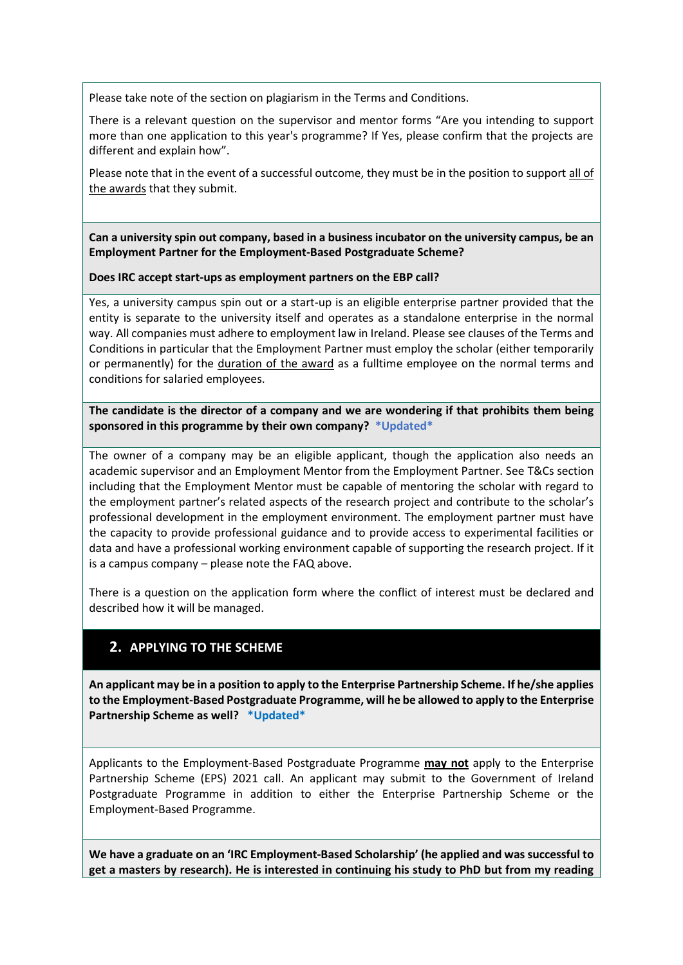Please take note of the section on plagiarism in the Terms and Conditions.

There is a relevant question on the supervisor and mentor forms "Are you intending to support more than one application to this year's programme? If Yes, please confirm that the projects are different and explain how".

Please note that in the event of a successful outcome, they must be in the position to support all of the awards that they submit.

**Can a university spin out company, based in a business incubator on the university campus, be an Employment Partner for the Employment-Based Postgraduate Scheme?**

**Does IRC accept start-ups as employment partners on the EBP call?**

Yes, a university campus spin out or a start-up is an eligible enterprise partner provided that the entity is separate to the university itself and operates as a standalone enterprise in the normal way. All companies must adhere to employment law in Ireland. Please see clauses of the Terms and Conditions in particular that the Employment Partner must employ the scholar (either temporarily or permanently) for the duration of the award as a fulltime employee on the normal terms and conditions for salaried employees.

**The candidate is the director of a company and we are wondering if that prohibits them being sponsored in this programme by their own company? \*Updated\***

The owner of a company may be an eligible applicant, though the application also needs an academic supervisor and an Employment Mentor from the Employment Partner. See T&Cs section including that the Employment Mentor must be capable of mentoring the scholar with regard to the employment partner's related aspects of the research project and contribute to the scholar's professional development in the employment environment. The employment partner must have the capacity to provide professional guidance and to provide access to experimental facilities or data and have a professional working environment capable of supporting the research project. If it is a campus company – please note the FAQ above.

There is a question on the application form where the conflict of interest must be declared and described how it will be managed.

# **2. APPLYING TO THE SCHEME**

**An applicant may be in a position to apply to the Enterprise Partnership Scheme. If he/she applies to the Employment-Based Postgraduate Programme, will he be allowed to apply to the Enterprise Partnership Scheme as well? \*Updated\***

Applicants to the Employment-Based Postgraduate Programme **may not** apply to the Enterprise Partnership Scheme (EPS) 2021 call. An applicant may submit to the Government of Ireland Postgraduate Programme in addition to either the Enterprise Partnership Scheme or the Employment-Based Programme.

**We have a graduate on an 'IRC Employment-Based Scholarship' (he applied and was successful to get a masters by research). He is interested in continuing his study to PhD but from my reading**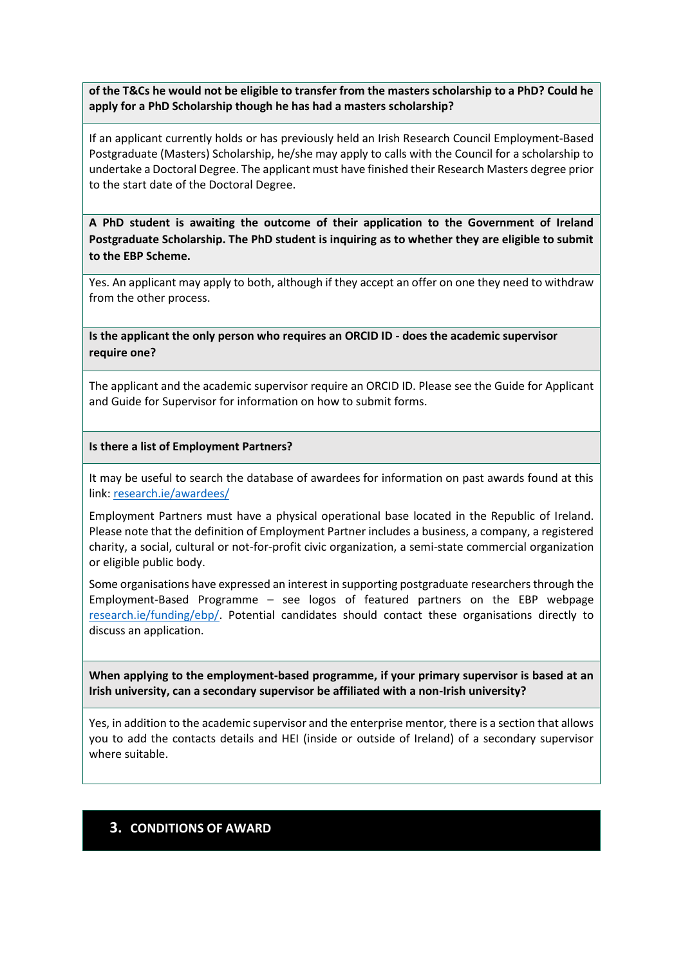**of the T&Cs he would not be eligible to transfer from the masters scholarship to a PhD? Could he apply for a PhD Scholarship though he has had a masters scholarship?**

If an applicant currently holds or has previously held an Irish Research Council Employment-Based Postgraduate (Masters) Scholarship, he/she may apply to calls with the Council for a scholarship to undertake a Doctoral Degree. The applicant must have finished their Research Masters degree prior to the start date of the Doctoral Degree.

**A PhD student is awaiting the outcome of their application to the Government of Ireland Postgraduate Scholarship. The PhD student is inquiring as to whether they are eligible to submit to the EBP Scheme.**

Yes. An applicant may apply to both, although if they accept an offer on one they need to withdraw from the other process.

**Is the applicant the only person who requires an ORCID ID - does the academic supervisor require one?**

The applicant and the academic supervisor require an ORCID ID. Please see the Guide for Applicant and Guide for Supervisor for information on how to submit forms.

### **Is there a list of Employment Partners?**

It may be useful to search the database of awardees for information on past awards found at this link: [research.ie/awardees/](http://research.ie/awardees/)

Employment Partners must have a physical operational base located in the Republic of Ireland. Please note that the definition of Employment Partner includes a business, a company, a registered charity, a social, cultural or not-for-profit civic organization, a semi-state commercial organization or eligible public body.

Some organisations have expressed an interest in supporting postgraduate researchers through the Employment-Based Programme – see logos of featured partners on the EBP webpage [research.ie/funding/ebp/.](http://research.ie/funding/ebp/) Potential candidates should contact these organisations directly to discuss an application.

**When applying to the employment-based programme, if your primary supervisor is based at an Irish university, can a secondary supervisor be affiliated with a non-Irish university?**

Yes, in addition to the academic supervisor and the enterprise mentor, there is a section that allows you to add the contacts details and HEI (inside or outside of Ireland) of a secondary supervisor where suitable.

# **3. CONDITIONS OF AWARD**